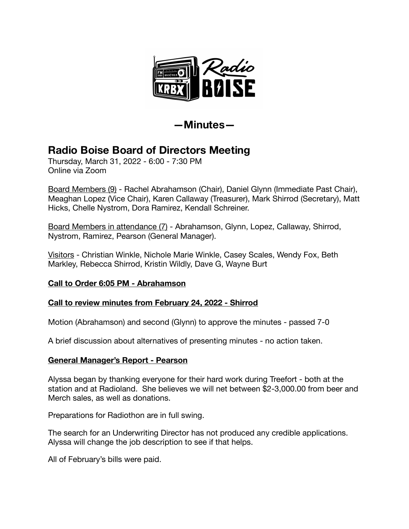

**—Minutes—** 

# **Radio Boise Board of Directors Meeting**

Thursday, March 31, 2022 - 6:00 - 7:30 PM Online via Zoom

Board Members (9) - Rachel Abrahamson (Chair), Daniel Glynn (Immediate Past Chair), Meaghan Lopez (Vice Chair), Karen Callaway (Treasurer), Mark Shirrod (Secretary), Matt Hicks, Chelle Nystrom, Dora Ramirez, Kendall Schreiner.

Board Members in attendance (7) - Abrahamson, Glynn, Lopez, Callaway, Shirrod, Nystrom, Ramirez, Pearson (General Manager).

Visitors - Christian Winkle, Nichole Marie Winkle, Casey Scales, Wendy Fox, Beth Markley, Rebecca Shirrod, Kristin Wildly, Dave G, Wayne Burt

# **Call to Order 6:05 PM - Abrahamson**

# **Call to review minutes from February 24, 2022 - Shirrod**

Motion (Abrahamson) and second (Glynn) to approve the minutes - passed 7-0

A brief discussion about alternatives of presenting minutes - no action taken.

## **General Manager's Report - Pearson**

Alyssa began by thanking everyone for their hard work during Treefort - both at the station and at Radioland. She believes we will net between \$2-3,000.00 from beer and Merch sales, as well as donations.

Preparations for Radiothon are in full swing.

The search for an Underwriting Director has not produced any credible applications. Alyssa will change the job description to see if that helps.

All of February's bills were paid.